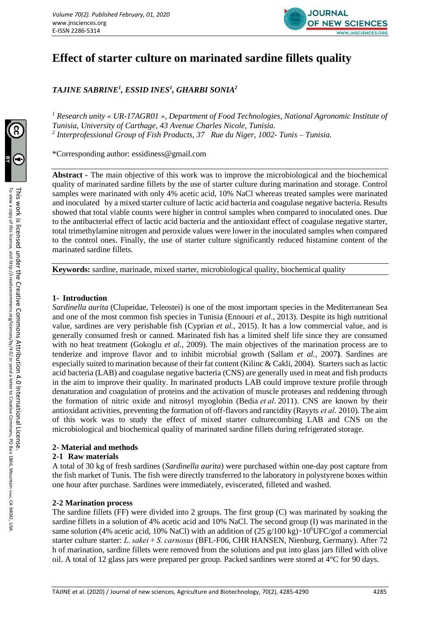

# **Effect of starter culture on marinated sardine fillets quality**

*TAJINE SABRINE<sup>1</sup> , ESSID INES<sup>1</sup> , GHARBI SONIA<sup>2</sup>*

*<sup>1</sup> Research unity « UR-17AGR01 », Department of Food Technologies, National Agronomic Institute of Tunisia, University of Carthage, 43 Avenue Charles Nicole, Tunisia. 2 Interprofessional Group of Fish Products, 37 Rue du Niger, 1002- Tunis – Tunisia.*

\*Corresponding author: essidiness@gmail.com

**Abstract -** The main objective of this work was to improve the microbiological and the biochemical quality of marinated sardine fillets by the use of starter culture during marination and storage. Control samples were marinated with only 4% acetic acid, 10% NaCl whereas treated samples were marinated and inoculated by a mixed starter culture of lactic acid bacteria and coagulase negative bacteria. Results showed that total viable counts were higher in control samples when compared to inoculated ones. Due to the antibacterial effect of lactic acid bacteria and the antioxidant effect of coagulase negative starter, total trimethylamine nitrogen and peroxide values were lower in the inoculated samples when compared to the control ones. Finally, the use of starter culture significantly reduced histamine content of the marinated sardine fillets.

**Keywords:** sardine, marinade, mixed starter, microbiological quality, biochemical quality

## **1- Introduction**

*Sardinella aurita* (Clupeidae, Teleostei) is one of the most important species in the Mediterranean Sea and one of the most common fish species in Tunisia (Ennouri *et al*., 2013). Despite its high nutritional value, sardines are very perishable fish (Cyprian *et al.*, 2015). It has a low commercial value, and is generally consumed fresh or canned. Marinated fish has a limited shelf life since they are consumed with no heat treatment (Gokoglu *et al.*, 2009). The main objectives of the marination process are to tenderize and improve flavor and to inhibit microbial growth (Sallam *et al.,* 2007**)**. Sardines are especially suited to marination because of their fat content (Kilinc & Cakli, 2004). Starters such as lactic acid bacteria (LAB) and coagulase negative bacteria (CNS) are generally used in meat and fish products in the aim to improve their quality. In marinated products LAB could improve texture profile through denaturation and coagulation of proteins and the activation of muscle proteases and reddening through the formation of nitric oxide and nitrosyl myoglobin (Bedia *et al*. 2011). CNS are known by their antioxidant activities, preventing the formation of off‐flavors and rancidity (Rayyts *et al*. 2010). The aim of this work was to study the effect of mixed starter culturecombing LAB and CNS on the microbiological and biochemical quality of marinated sardine fillets during refrigerated storage.

## **2- Material and methods**

## **2-1 Raw materials**

A total of 30 kg of fresh sardines (*Sardinella aurita*) were purchased within one-day post capture from the fish market of Tunis. The fish were directly transferred to the laboratory in polystyrene boxes within one hour after purchase. Sardines were immediately, eviscerated, filleted and washed.

## **2-2 Marination process**

The sardine fillets (FF) were divided into 2 groups. The first group (C) was marinated by soaking the sardine fillets in a solution of 4% acetic acid and 10% NaCl. The second group (I) was marinated in the same solution (4% acetic acid, 10% NaCl) with an addition of  $(25 g/100 kg)$  ~10<sup>6</sup>UFC/gof a commercial starter culture starter: *L. sakei* + *S. carnosus* (BFL‐F06, CHR HANSEN, Nienburg, Germany). After 72 h of marination, sardine fillets were removed from the solutions and put into glass jars filled with olive oil. A total of 12 glass jars were prepared per group. Packed sardines were stored at 4°C for 90 days.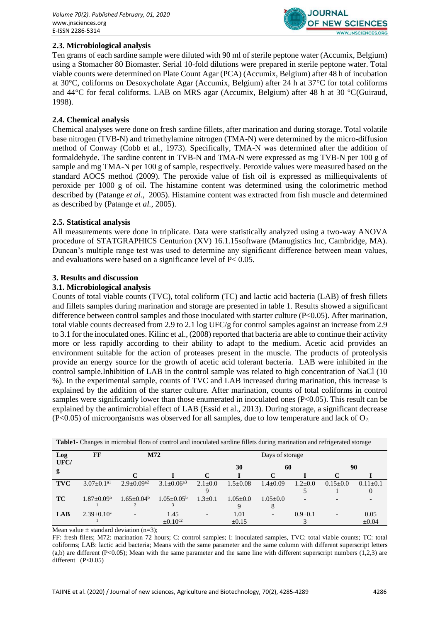

## **2.3. Microbiological analysis**

Ten grams of each sardine sample were diluted with 90 ml of sterile peptone water (Accumix, Belgium) using a Stomacher 80 Biomaster. Serial 10-fold dilutions were prepared in sterile peptone water. Total viable counts were determined on Plate Count Agar (PCA) (Accumix, Belgium) after 48 h of incubation at 30°C, coliforms on Desoxycholate Agar (Accumix, Belgium) after 24 h at 37°C for total coliforms and 44°C for fecal coliforms. LAB on MRS agar (Accumix, Belgium) after 48 h at 30 °C(Guiraud, 1998).

## **2.4. Chemical analysis**

Chemical analyses were done on fresh sardine fillets, after marination and during storage. Total volatile base nitrogen (TVB-N) and trimethylamine nitrogen (TMA-N) were determined by the micro-diffusion method of Conway (Cobb et al., 1973). Specifically, TMA-N was determined after the addition of formaldehyde. The sardine content in TVB-N and TMA-N were expressed as mg TVB-N per 100 g of sample and mg TMA-N per 100 g of sample, respectively. Peroxide values were measured based on the standard AOCS method (2009). The peroxide value of fish oil is expressed as milliequivalents of peroxide per 1000 g of oil. The histamine content was determined using the colorimetric method described by (Patange *et al.*, 2005). Histamine content was extracted from fish muscle and determined as described by (Patange *et al.*, 2005).

## **2.5. Statistical analysis**

All measurements were done in triplicate. Data were statistically analyzed using a two-way ANOVA procedure of STATGRAPHICS Centurion (XV) 16.1.15software (Manugistics Inc, Cambridge, MA). Duncan's multiple range test was used to determine any significant difference between mean values, and evaluations were based on a significance level of P< 0.05.

### **3. Results and discussion**

### **3.1. Microbiological analysis**

Counts of total viable counts (TVC), total coliform (TC) and lactic acid bacteria (LAB) of fresh fillets and fillets samples during marination and storage are presented in table 1. Results showed a significant difference between control samples and those inoculated with starter culture (P<0.05). After marination, total viable counts decreased from 2.9 to 2.1 log UFC/g for control samples against an increase from 2.9 to 3.1 for the inoculated ones. Kilinc et al., (2008) reported that bacteria are able to continue their activity more or less rapidly according to their ability to adapt to the medium. Acetic acid provides an environment suitable for the action of proteases present in the muscle. The products of proteolysis provide an energy source for the growth of acetic acid tolerant bacteria. LAB were inhibited in the control sample.Inhibition of LAB in the control sample was related to high concentration of NaCl (10 %). In the experimental sample, counts of TVC and LAB increased during marination, this increase is explained by the addition of the starter culture. After marination, counts of total coliforms in control samples were significantly lower than those enumerated in inoculated ones (P<0.05). This result can be explained by the antimicrobial effect of LAB (Essid et al., 2013). During storage, a significant decrease  $(P<0.05)$  of microorganisms was observed for all samples, due to low temperature and lack of  $O<sub>2</sub>$ .

| Log        | FF                         |                          | M72                          | Days of storage          |                |                          |                          |                          |            |
|------------|----------------------------|--------------------------|------------------------------|--------------------------|----------------|--------------------------|--------------------------|--------------------------|------------|
| UFC/       |                            |                          |                              |                          | 30             | 60                       |                          | 90                       |            |
| g          |                            | C                        |                              |                          |                | C                        |                          | C                        |            |
| <b>TVC</b> | $3.07 + 0.1$ <sup>a1</sup> | $2.9+0.09^{2}$           | $3.1 \pm 0.06$ <sup>a3</sup> | $2.1 \pm 0.0$            | $1.5 \pm 0.08$ | $1.4 \pm 0.09$           | $1.2 \pm 0.0$            | $0.15+0.0$               | $0.11+0.1$ |
|            |                            |                          |                              | 9                        |                |                          |                          |                          |            |
| <b>TC</b>  | $1.87+0.09b$               | $1.65+0.04b$             | $1.05 + 0.05^{\circ}$        | $1.3 \pm 0.1$            | $1.05 + 0.0$   | $1.05 + 0.0$             | $\overline{\phantom{0}}$ |                          |            |
|            |                            |                          |                              |                          | 9              | δ                        |                          |                          |            |
| <b>LAB</b> | $2.39+0.10^{\circ}$        | $\overline{\phantom{a}}$ | 1.45                         | $\overline{\phantom{a}}$ | 1.01           | $\overline{\phantom{a}}$ | $0.9 \pm 0.1$            | $\overline{\phantom{0}}$ | 0.05       |
|            |                            |                          | $\pm 0.10$ <sup>c2</sup>     |                          | $\pm 0.15$     |                          |                          |                          | $\pm 0.04$ |

**Table1-** Changes in microbial flora of control and inoculated sardine fillets during marination and refrigerated storage

Mean value  $\pm$  standard deviation (n=3);

FF: fresh filets; M72: marination 72 hours; C: control samples; I: inoculated samples, TVC: total viable counts; TC: total coliforms; LAB: lactic acid bacteria; Means with the same parameter and the same column with different superscript letters  $(a,b)$  are different (P<0.05); Mean with the same parameter and the same line with different superscript numbers (1,2,3) are different (P<0.05)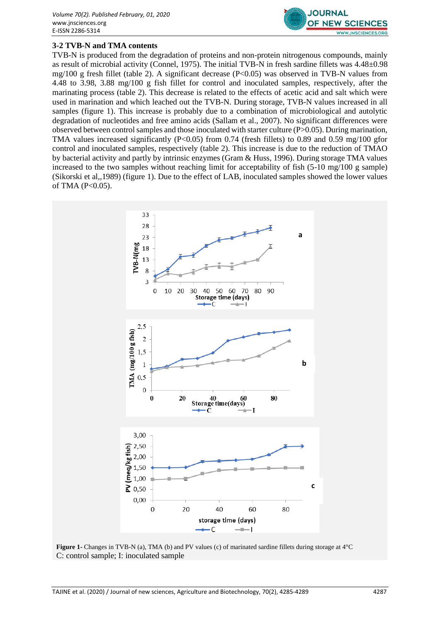

## **3-2 TVB-N and TMA contents**

TVB-N is produced from the degradation of proteins and non-protein nitrogenous compounds, mainly as result of microbial activity (Connel, 1975). The initial TVB-N in fresh sardine fillets was 4.48±0.98 mg/100 g fresh fillet (table 2). A significant decrease  $(P< 0.05)$  was observed in TVB-N values from 4.48 to 3.98, 3.88 mg/100 g fish fillet for control and inoculated samples, respectively, after the marinating process (table 2). This decrease is related to the effects of acetic acid and salt which were used in marination and which leached out the TVB-N. During storage, TVB-N values increased in all samples (figure 1). This increase is probably due to a combination of microbiological and autolytic degradation of nucleotides and free amino acids (Sallam et al., 2007). No significant differences were observed between control samples and those inoculated with starter culture (P>0.05). During marination, TMA values increased significantly (P<0.05) from 0.74 (fresh fillets) to 0.89 and 0.59 mg/100 gfor control and inoculated samples, respectively (table 2). This increase is due to the reduction of TMAO by bacterial activity and partly by intrinsic enzymes (Gram & Huss, 1996). During storage TMA values increased to the two samples without reaching limit for acceptability of fish (5-10 mg/100 g sample) (Sikorski et al,,1989) (figure 1). Due to the effect of LAB, inoculated samples showed the lower values of TMA  $(P<0.05)$ .



**Figure 1-** Changes in TVB-N (a), TMA (b) and PV values (c) of marinated sardine fillets during storage at  $4^{\circ}$ C C: control sample; I: inoculated sample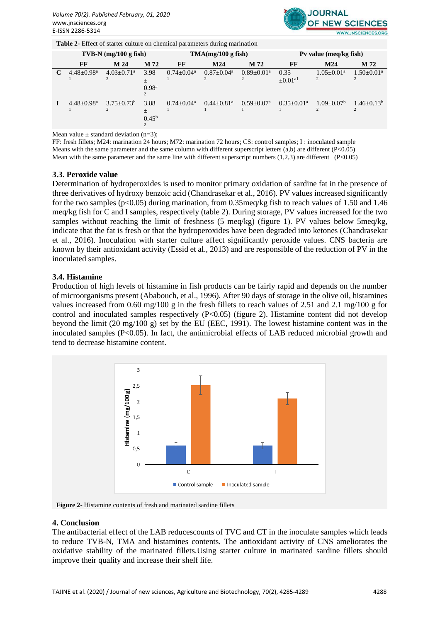

**Table 2-** Effect of starter culture on chemical parameters during marination

|  | $TVB-N$ (mg/100 g fish)    |                            |                                     | TMA(mg/100 g fish) |                            |                            | Pv value (meq/kg fish)           |                 |                 |
|--|----------------------------|----------------------------|-------------------------------------|--------------------|----------------------------|----------------------------|----------------------------------|-----------------|-----------------|
|  | FF                         | M 24                       | M 72                                | FF                 | M24                        | M 72                       | FF                               | M24             | M 72            |
|  | $4.48 + 0.98$ <sup>a</sup> | $4.03 + 0.71$ <sup>a</sup> | 3.98<br>$^{+}$<br>0.98 <sup>a</sup> | $0.74 + 0.04^a$    | $0.87 + 0.04^a$            | $0.89 + 0.01a$             | 0.35<br>$\pm 0.01$ <sup>al</sup> | $1.05 + 0.01^a$ | $1.50+0.01a$    |
|  | $4.48 + 0.98$ <sup>a</sup> | $3.75 + 0.73^b$            | 3.88<br>$\pm$<br>$0.45^{\rm b}$     | $0.74 + 0.04^a$    | $0.44 + 0.81$ <sup>a</sup> | $0.59 + 0.07$ <sup>a</sup> | $0.35+0.01^a$                    | $1.09 + 0.07^b$ | $1.46 + 0.13^b$ |

Mean value  $\pm$  standard deviation (n=3);

FF: fresh fillets; M24: marination 24 hours; M72: marination 72 hours; CS: control samples; I : inoculated sample Means with the same parameter and the same column with different superscript letters (a,b) are different (P<0.05) Mean with the same parameter and the same line with different superscript numbers  $(1,2,3)$  are different  $(P<0.05)$ 

### **3.3. Peroxide value**

Determination of hydroperoxides is used to monitor primary oxidation of sardine fat in the presence of three derivatives of hydroxy benzoic acid (Chandrasekar et al., 2016). PV values increased significantly for the two samples ( $p<0.05$ ) during marination, from 0.35meq/kg fish to reach values of 1.50 and 1.46 meq/kg fish for C and I samples, respectively (table 2). During storage, PV values increased for the two samples without reaching the limit of freshness (5 meq/kg) (figure 1). PV values below 5meq/kg, indicate that the fat is fresh or that the hydroperoxides have been degraded into ketones (Chandrasekar et al., 2016). Inoculation with starter culture affect significantly peroxide values. CNS bacteria are known by their antioxidant activity (Essid et al., 2013) and are responsible of the reduction of PV in the inoculated samples.

### **3.4. Histamine**

Production of high levels of histamine in fish products can be fairly rapid and depends on the number of microorganisms present (Ababouch, et al., 1996). After 90 days of storage in the olive oil, histamines values increased from 0.60 mg/100 g in the fresh fillets to reach values of 2.51 and 2.1 mg/100 g for control and inoculated samples respectively (P<0.05) (figure 2). Histamine content did not develop beyond the limit (20 mg/100 g) set by the EU (EEC, 1991). The lowest histamine content was in the inoculated samples (P<0.05). In fact, the antimicrobial effects of LAB reduced microbial growth and tend to decrease histamine content.



**Figure 2-** Histamine contents of fresh and marinated sardine fillets

#### **4. Conclusion**

The antibacterial effect of the LAB reducescounts of TVC and CT in the inoculate samples which leads to reduce TVB-N, TMA and histamines contents. The antioxidant activity of CNS ameliorates the oxidative stability of the marinated fillets.Using starter culture in marinated sardine fillets should improve their quality and increase their shelf life.